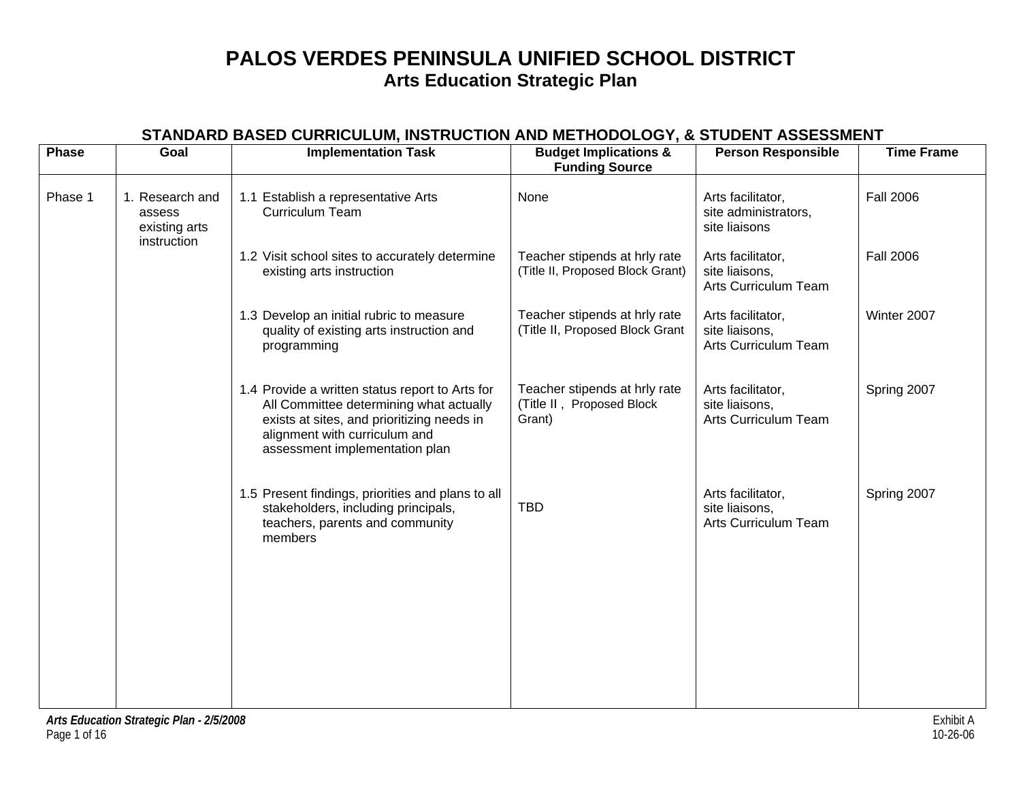| <b>Phase</b> | Goal                                                      | <b>Implementation Task</b>                                                                                                                                                                                  | <b>Budget Implications &amp;</b><br><b>Funding Source</b>            | <b>Person Responsible</b>                                   | <b>Time Frame</b> |
|--------------|-----------------------------------------------------------|-------------------------------------------------------------------------------------------------------------------------------------------------------------------------------------------------------------|----------------------------------------------------------------------|-------------------------------------------------------------|-------------------|
| Phase 1      | 1. Research and<br>assess<br>existing arts<br>instruction | 1.1 Establish a representative Arts<br><b>Curriculum Team</b>                                                                                                                                               | None                                                                 | Arts facilitator,<br>site administrators,<br>site liaisons  | <b>Fall 2006</b>  |
|              |                                                           | 1.2 Visit school sites to accurately determine<br>existing arts instruction                                                                                                                                 | Teacher stipends at hrly rate<br>(Title II, Proposed Block Grant)    | Arts facilitator,<br>site liaisons,<br>Arts Curriculum Team | <b>Fall 2006</b>  |
|              |                                                           | 1.3 Develop an initial rubric to measure<br>quality of existing arts instruction and<br>programming                                                                                                         | Teacher stipends at hrly rate<br>(Title II, Proposed Block Grant     | Arts facilitator,<br>site liaisons,<br>Arts Curriculum Team | Winter 2007       |
|              |                                                           | 1.4 Provide a written status report to Arts for<br>All Committee determining what actually<br>exists at sites, and prioritizing needs in<br>alignment with curriculum and<br>assessment implementation plan | Teacher stipends at hrly rate<br>(Title II, Proposed Block<br>Grant) | Arts facilitator,<br>site liaisons,<br>Arts Curriculum Team | Spring 2007       |
|              |                                                           | 1.5 Present findings, priorities and plans to all<br>stakeholders, including principals,<br>teachers, parents and community<br>members                                                                      | <b>TBD</b>                                                           | Arts facilitator,<br>site liaisons,<br>Arts Curriculum Team | Spring 2007       |
|              |                                                           |                                                                                                                                                                                                             |                                                                      |                                                             |                   |
|              |                                                           |                                                                                                                                                                                                             |                                                                      |                                                             |                   |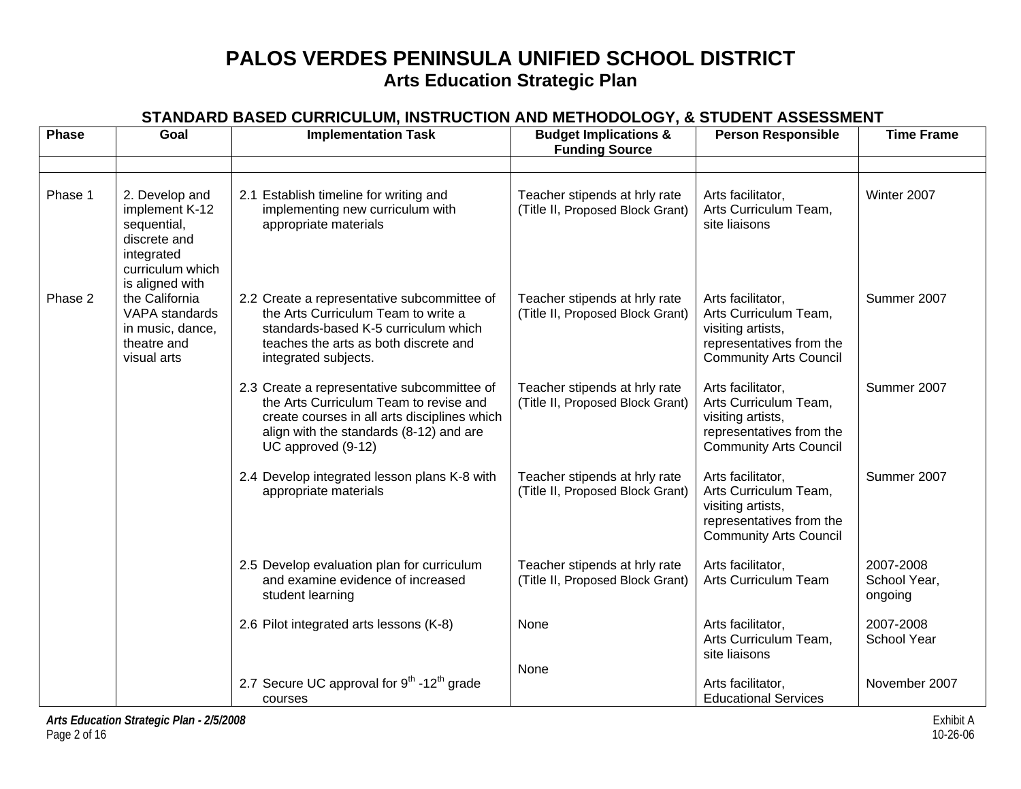| <b>Phase</b> | Goal                                                                                                  | <b>Implementation Task</b>                                                                                                                                                                             | <b>Budget Implications &amp;</b><br><b>Funding Source</b>         | <b>Person Responsible</b>                                                                                                    | <b>Time Frame</b>                    |
|--------------|-------------------------------------------------------------------------------------------------------|--------------------------------------------------------------------------------------------------------------------------------------------------------------------------------------------------------|-------------------------------------------------------------------|------------------------------------------------------------------------------------------------------------------------------|--------------------------------------|
|              |                                                                                                       |                                                                                                                                                                                                        |                                                                   |                                                                                                                              |                                      |
| Phase 1      | 2. Develop and<br>implement K-12<br>sequential,<br>discrete and<br>integrated<br>curriculum which     | 2.1 Establish timeline for writing and<br>implementing new curriculum with<br>appropriate materials                                                                                                    | Teacher stipends at hrly rate<br>(Title II, Proposed Block Grant) | Arts facilitator,<br>Arts Curriculum Team,<br>site liaisons                                                                  | Winter 2007                          |
| Phase 2      | is aligned with<br>the California<br>VAPA standards<br>in music, dance,<br>theatre and<br>visual arts | 2.2 Create a representative subcommittee of<br>the Arts Curriculum Team to write a<br>standards-based K-5 curriculum which<br>teaches the arts as both discrete and<br>integrated subjects.            | Teacher stipends at hrly rate<br>(Title II, Proposed Block Grant) | Arts facilitator,<br>Arts Curriculum Team,<br>visiting artists,<br>representatives from the<br><b>Community Arts Council</b> | Summer 2007                          |
|              |                                                                                                       | 2.3 Create a representative subcommittee of<br>the Arts Curriculum Team to revise and<br>create courses in all arts disciplines which<br>align with the standards (8-12) and are<br>UC approved (9-12) | Teacher stipends at hrly rate<br>(Title II, Proposed Block Grant) | Arts facilitator,<br>Arts Curriculum Team,<br>visiting artists,<br>representatives from the<br><b>Community Arts Council</b> | Summer 2007                          |
|              |                                                                                                       | 2.4 Develop integrated lesson plans K-8 with<br>appropriate materials                                                                                                                                  | Teacher stipends at hrly rate<br>(Title II, Proposed Block Grant) | Arts facilitator,<br>Arts Curriculum Team,<br>visiting artists,<br>representatives from the<br><b>Community Arts Council</b> | Summer 2007                          |
|              |                                                                                                       | 2.5 Develop evaluation plan for curriculum<br>and examine evidence of increased<br>student learning                                                                                                    | Teacher stipends at hrly rate<br>(Title II, Proposed Block Grant) | Arts facilitator,<br>Arts Curriculum Team                                                                                    | 2007-2008<br>School Year,<br>ongoing |
|              |                                                                                                       | 2.6 Pilot integrated arts lessons (K-8)                                                                                                                                                                | None                                                              | Arts facilitator,<br>Arts Curriculum Team,<br>site liaisons                                                                  | 2007-2008<br>School Year             |
|              |                                                                                                       | 2.7 Secure UC approval for $9^{th}$ -12 <sup>th</sup> grade<br>courses                                                                                                                                 | None                                                              | Arts facilitator,<br><b>Educational Services</b>                                                                             | November 2007                        |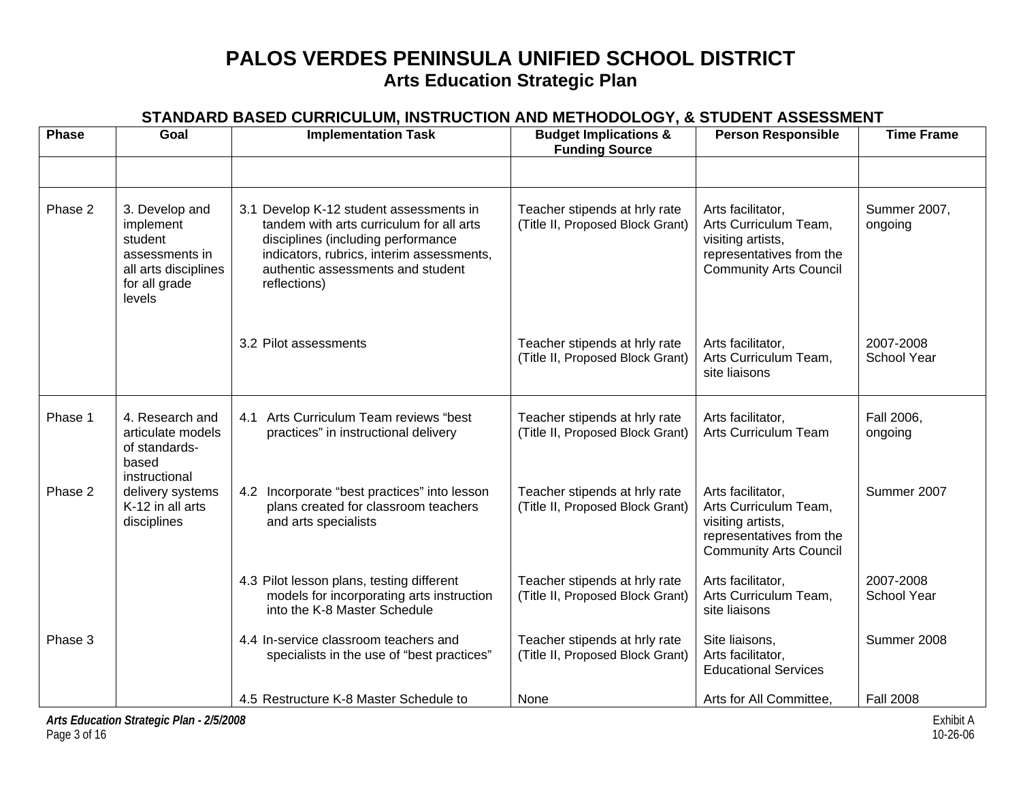| <b>Phase</b> | Goal                                                                                                        | <b>Implementation Task</b>                                                                                                                                                                                                  | <b>Budget Implications &amp;</b><br><b>Funding Source</b>         | <b>Person Responsible</b>                                                                                                    | <b>Time Frame</b>               |
|--------------|-------------------------------------------------------------------------------------------------------------|-----------------------------------------------------------------------------------------------------------------------------------------------------------------------------------------------------------------------------|-------------------------------------------------------------------|------------------------------------------------------------------------------------------------------------------------------|---------------------------------|
| Phase 2      | 3. Develop and<br>implement<br>student<br>assessments in<br>all arts disciplines<br>for all grade<br>levels | 3.1 Develop K-12 student assessments in<br>tandem with arts curriculum for all arts<br>disciplines (including performance<br>indicators, rubrics, interim assessments,<br>authentic assessments and student<br>reflections) | Teacher stipends at hrly rate<br>(Title II, Proposed Block Grant) | Arts facilitator,<br>Arts Curriculum Team,<br>visiting artists,<br>representatives from the<br><b>Community Arts Council</b> | Summer 2007,<br>ongoing         |
|              |                                                                                                             | 3.2 Pilot assessments                                                                                                                                                                                                       | Teacher stipends at hrly rate<br>(Title II, Proposed Block Grant) | Arts facilitator,<br>Arts Curriculum Team,<br>site liaisons                                                                  | 2007-2008<br>School Year        |
| Phase 1      | 4. Research and<br>articulate models<br>of standards-<br>based                                              | Arts Curriculum Team reviews "best<br>4.1<br>practices" in instructional delivery                                                                                                                                           | Teacher stipends at hrly rate<br>(Title II, Proposed Block Grant) | Arts facilitator,<br>Arts Curriculum Team                                                                                    | Fall 2006,<br>ongoing           |
| Phase 2      | instructional<br>delivery systems<br>K-12 in all arts<br>disciplines                                        | 4.2 Incorporate "best practices" into lesson<br>plans created for classroom teachers<br>and arts specialists                                                                                                                | Teacher stipends at hrly rate<br>(Title II, Proposed Block Grant) | Arts facilitator,<br>Arts Curriculum Team,<br>visiting artists,<br>representatives from the<br><b>Community Arts Council</b> | Summer 2007                     |
|              |                                                                                                             | 4.3 Pilot lesson plans, testing different<br>models for incorporating arts instruction<br>into the K-8 Master Schedule                                                                                                      | Teacher stipends at hrly rate<br>(Title II, Proposed Block Grant) | Arts facilitator,<br>Arts Curriculum Team,<br>site liaisons                                                                  | 2007-2008<br><b>School Year</b> |
| Phase 3      |                                                                                                             | 4.4 In-service classroom teachers and<br>specialists in the use of "best practices"                                                                                                                                         | Teacher stipends at hrly rate<br>(Title II, Proposed Block Grant) | Site liaisons,<br>Arts facilitator,<br><b>Educational Services</b>                                                           | Summer 2008                     |
|              |                                                                                                             | 4.5 Restructure K-8 Master Schedule to                                                                                                                                                                                      | None                                                              | Arts for All Committee.                                                                                                      | <b>Fall 2008</b>                |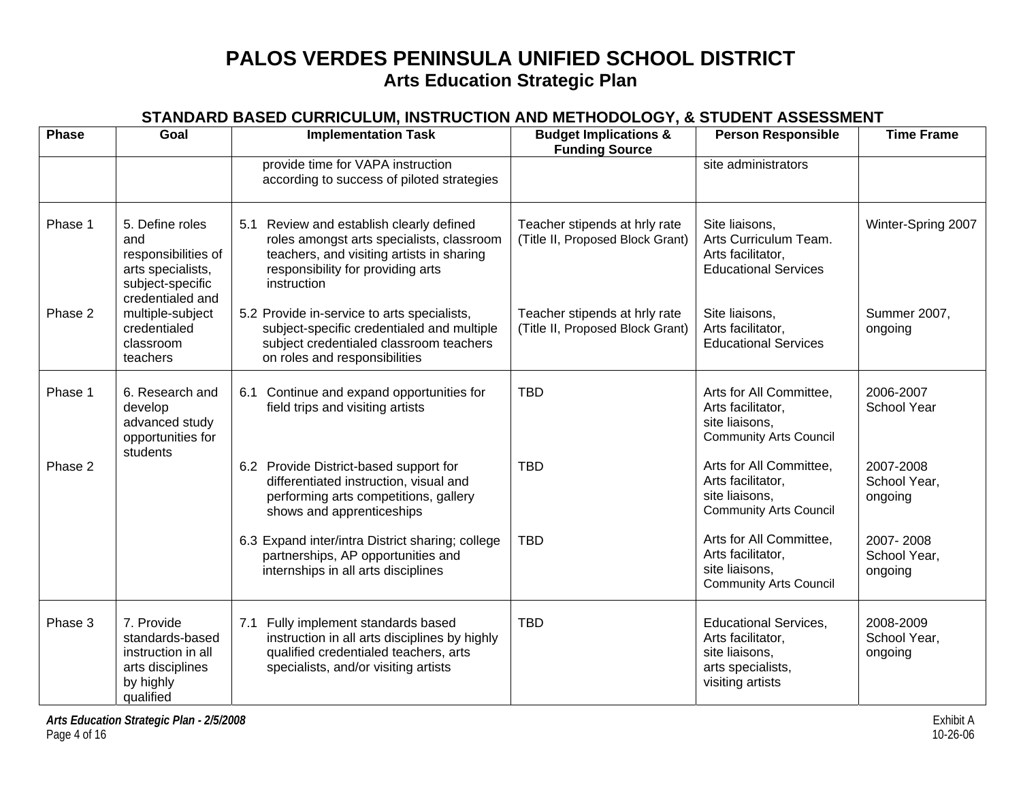| <b>Phase</b> | Goal                                                                                                       | <b>Implementation Task</b>                                                                                                                                                                    | <b>Budget Implications &amp;</b><br><b>Funding Source</b>         | <b>Person Responsible</b>                                                                                    | <b>Time Frame</b>                    |
|--------------|------------------------------------------------------------------------------------------------------------|-----------------------------------------------------------------------------------------------------------------------------------------------------------------------------------------------|-------------------------------------------------------------------|--------------------------------------------------------------------------------------------------------------|--------------------------------------|
|              |                                                                                                            | provide time for VAPA instruction<br>according to success of piloted strategies                                                                                                               |                                                                   | site administrators                                                                                          |                                      |
| Phase 1      | 5. Define roles<br>and<br>responsibilities of<br>arts specialists,<br>subject-specific<br>credentialed and | 5.1 Review and establish clearly defined<br>roles amongst arts specialists, classroom<br>teachers, and visiting artists in sharing<br>responsibility for providing arts<br><i>instruction</i> | Teacher stipends at hrly rate<br>(Title II, Proposed Block Grant) | Site liaisons,<br>Arts Curriculum Team.<br>Arts facilitator,<br><b>Educational Services</b>                  | Winter-Spring 2007                   |
| Phase 2      | multiple-subject<br>credentialed<br>classroom<br>teachers                                                  | 5.2 Provide in-service to arts specialists,<br>subject-specific credentialed and multiple<br>subject credentialed classroom teachers<br>on roles and responsibilities                         | Teacher stipends at hrly rate<br>(Title II, Proposed Block Grant) | Site liaisons,<br>Arts facilitator,<br><b>Educational Services</b>                                           | Summer 2007,<br>ongoing              |
| Phase 1      | 6. Research and<br>develop<br>advanced study<br>opportunities for<br>students                              | 6.1 Continue and expand opportunities for<br>field trips and visiting artists                                                                                                                 | <b>TBD</b>                                                        | Arts for All Committee,<br>Arts facilitator,<br>site liaisons,<br><b>Community Arts Council</b>              | 2006-2007<br><b>School Year</b>      |
| Phase 2      |                                                                                                            | 6.2 Provide District-based support for<br>differentiated instruction, visual and<br>performing arts competitions, gallery<br>shows and apprenticeships                                        | <b>TBD</b>                                                        | Arts for All Committee,<br>Arts facilitator,<br>site liaisons,<br><b>Community Arts Council</b>              | 2007-2008<br>School Year,<br>ongoing |
|              |                                                                                                            | 6.3 Expand inter/intra District sharing; college<br>partnerships, AP opportunities and<br>internships in all arts disciplines                                                                 | <b>TBD</b>                                                        | Arts for All Committee,<br>Arts facilitator,<br>site liaisons,<br><b>Community Arts Council</b>              | 2007-2008<br>School Year,<br>ongoing |
| Phase 3      | 7. Provide<br>standards-based<br>instruction in all<br>arts disciplines<br>by highly<br>qualified          | Fully implement standards based<br>7.1<br>instruction in all arts disciplines by highly<br>qualified credentialed teachers, arts<br>specialists, and/or visiting artists                      | <b>TBD</b>                                                        | <b>Educational Services,</b><br>Arts facilitator,<br>site liaisons,<br>arts specialists,<br>visiting artists | 2008-2009<br>School Year,<br>ongoing |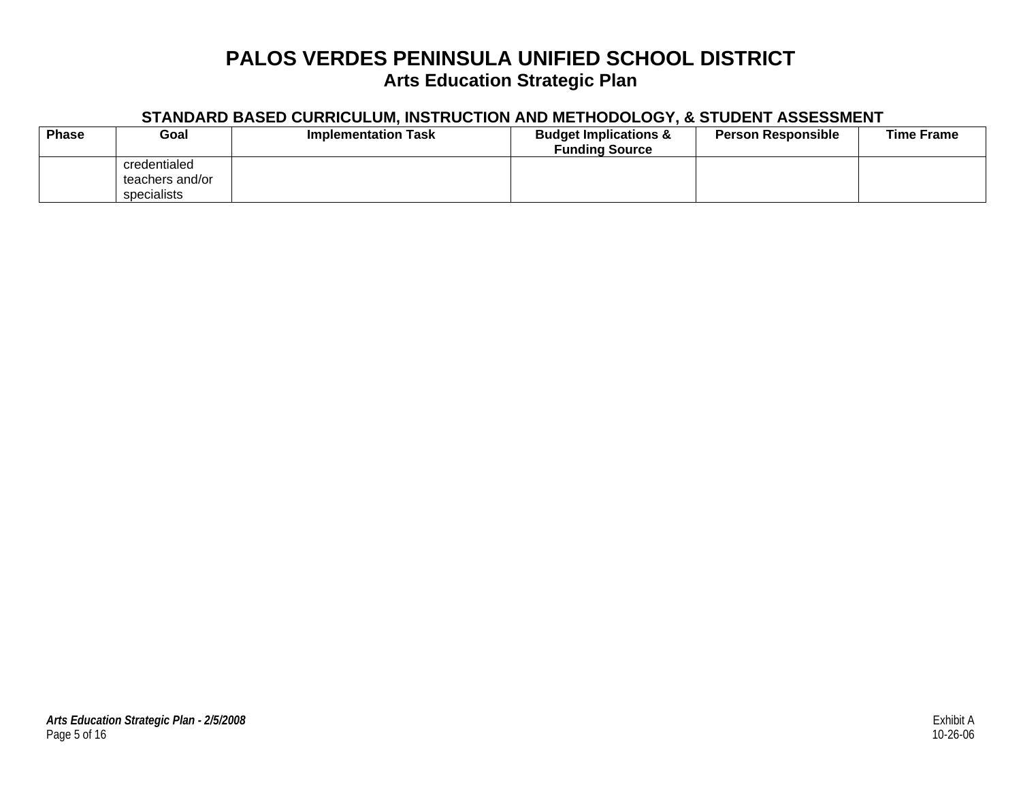| <b>Phase</b> | Goal                                           | <b>Implementation Task</b> | <b>Budget Implications &amp;</b><br><b>Funding Source</b> | <b>Person Responsible</b> | <b>Time Frame</b> |
|--------------|------------------------------------------------|----------------------------|-----------------------------------------------------------|---------------------------|-------------------|
|              | credentialed<br>teachers and/or<br>specialists |                            |                                                           |                           |                   |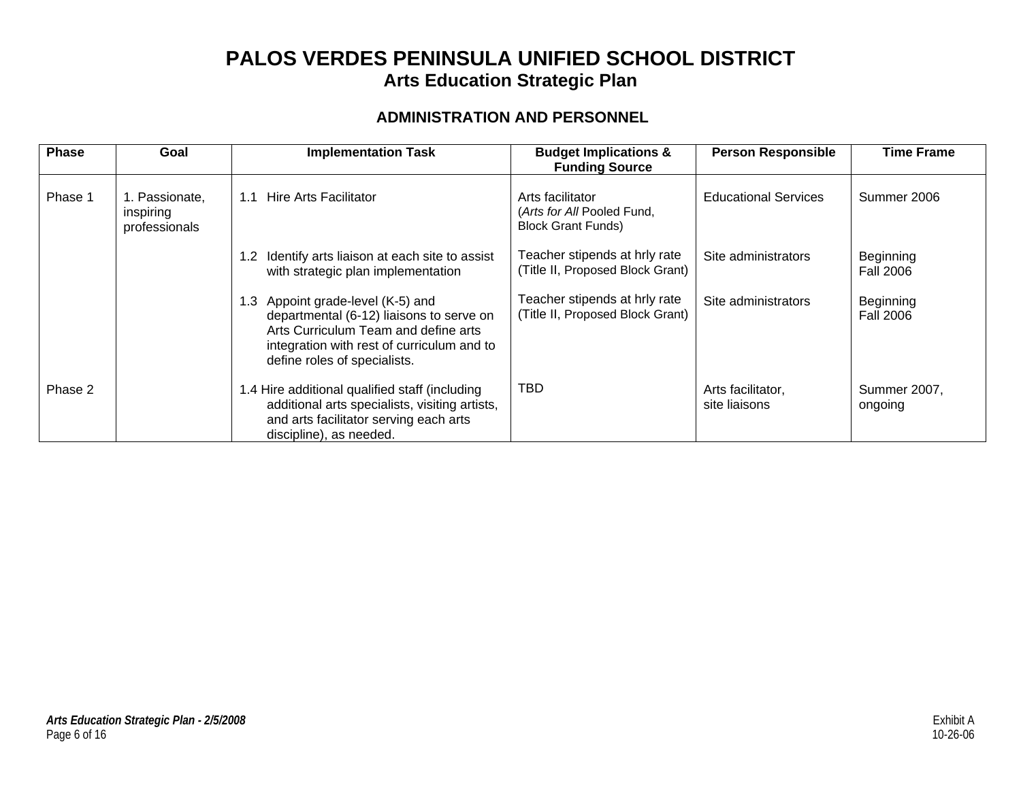### **ADMINISTRATION AND PERSONNEL**

| <b>Phase</b> | Goal                                         | <b>Implementation Task</b>                                                                                                                                                                             | <b>Budget Implications &amp;</b><br><b>Funding Source</b>                   | <b>Person Responsible</b>          | <b>Time Frame</b>             |
|--------------|----------------------------------------------|--------------------------------------------------------------------------------------------------------------------------------------------------------------------------------------------------------|-----------------------------------------------------------------------------|------------------------------------|-------------------------------|
| Phase 1      | 1. Passionate,<br>inspiring<br>professionals | Hire Arts Facilitator<br>1.1                                                                                                                                                                           | Arts facilitator<br>(Arts for All Pooled Fund,<br><b>Block Grant Funds)</b> | <b>Educational Services</b>        | Summer 2006                   |
|              |                                              | Identify arts liaison at each site to assist<br>$1.2^{\circ}$<br>with strategic plan implementation                                                                                                    | Teacher stipends at hrly rate<br>(Title II, Proposed Block Grant)           | Site administrators                | Beginning<br>Fall 2006        |
|              |                                              | Appoint grade-level (K-5) and<br>1.3<br>departmental (6-12) liaisons to serve on<br>Arts Curriculum Team and define arts<br>integration with rest of curriculum and to<br>define roles of specialists. | Teacher stipends at hrly rate<br>(Title II, Proposed Block Grant)           | Site administrators                | Beginning<br><b>Fall 2006</b> |
| Phase 2      |                                              | 1.4 Hire additional qualified staff (including<br>additional arts specialists, visiting artists,<br>and arts facilitator serving each arts<br>discipline), as needed.                                  | <b>TBD</b>                                                                  | Arts facilitator,<br>site liaisons | Summer 2007,<br>ongoing       |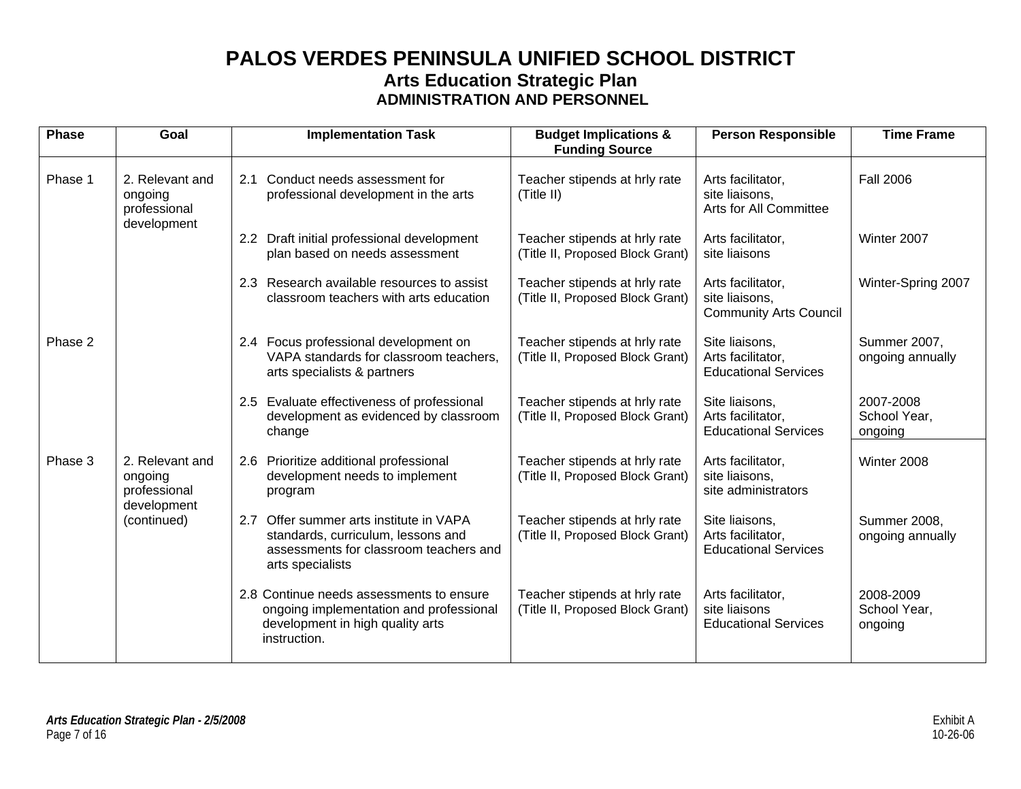## **PALOS VERDES PENINSULA UNIFIED SCHOOL DISTRICT Arts Education Strategic Plan ADMINISTRATION AND PERSONNEL**

| <b>Phase</b> | Goal                                                      | <b>Implementation Task</b>                                                                                                                     | <b>Budget Implications &amp;</b><br><b>Funding Source</b>         | <b>Person Responsible</b>                                            | <b>Time Frame</b>                    |
|--------------|-----------------------------------------------------------|------------------------------------------------------------------------------------------------------------------------------------------------|-------------------------------------------------------------------|----------------------------------------------------------------------|--------------------------------------|
| Phase 1      | 2. Relevant and<br>ongoing<br>professional<br>development | Conduct needs assessment for<br>2.1<br>professional development in the arts                                                                    | Teacher stipends at hrly rate<br>(Title II)                       | Arts facilitator,<br>site liaisons,<br>Arts for All Committee        | <b>Fall 2006</b>                     |
|              |                                                           | 2.2 Draft initial professional development<br>plan based on needs assessment                                                                   | Teacher stipends at hrly rate<br>(Title II, Proposed Block Grant) | Arts facilitator,<br>site liaisons                                   | Winter 2007                          |
|              |                                                           | 2.3 Research available resources to assist<br>classroom teachers with arts education                                                           | Teacher stipends at hrly rate<br>(Title II, Proposed Block Grant) | Arts facilitator,<br>site liaisons,<br><b>Community Arts Council</b> | Winter-Spring 2007                   |
| Phase 2      |                                                           | 2.4 Focus professional development on<br>VAPA standards for classroom teachers,<br>arts specialists & partners                                 | Teacher stipends at hrly rate<br>(Title II, Proposed Block Grant) | Site liaisons,<br>Arts facilitator,<br><b>Educational Services</b>   | Summer 2007,<br>ongoing annually     |
|              |                                                           | 2.5 Evaluate effectiveness of professional<br>development as evidenced by classroom<br>change                                                  | Teacher stipends at hrly rate<br>(Title II, Proposed Block Grant) | Site liaisons,<br>Arts facilitator.<br><b>Educational Services</b>   | 2007-2008<br>School Year,<br>ongoing |
| Phase 3      | 2. Relevant and<br>ongoing<br>professional                | 2.6 Prioritize additional professional<br>development needs to implement<br>program                                                            | Teacher stipends at hrly rate<br>(Title II, Proposed Block Grant) | Arts facilitator,<br>site liaisons,<br>site administrators           | Winter 2008                          |
|              | development<br>(continued)                                | Offer summer arts institute in VAPA<br>2.7<br>standards, curriculum, lessons and<br>assessments for classroom teachers and<br>arts specialists | Teacher stipends at hrly rate<br>(Title II, Proposed Block Grant) | Site liaisons,<br>Arts facilitator,<br><b>Educational Services</b>   | Summer 2008,<br>ongoing annually     |
|              |                                                           | 2.8 Continue needs assessments to ensure<br>ongoing implementation and professional<br>development in high quality arts<br>instruction.        | Teacher stipends at hrly rate<br>(Title II, Proposed Block Grant) | Arts facilitator,<br>site liaisons<br><b>Educational Services</b>    | 2008-2009<br>School Year,<br>ongoing |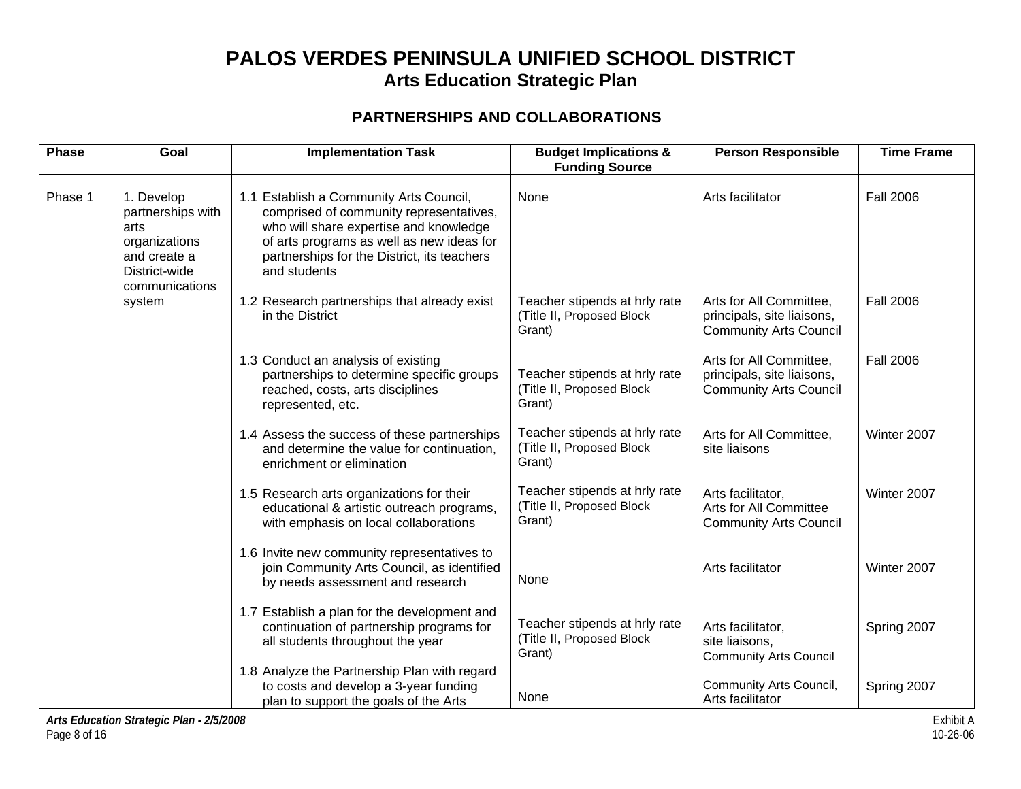### **PARTNERSHIPS AND COLLABORATIONS**

| <b>Phase</b> | Goal                                                                                                        | <b>Implementation Task</b>                                                                                                                                                                                                               | <b>Budget Implications &amp;</b><br><b>Funding Source</b>            | <b>Person Responsible</b>                                                              | <b>Time Frame</b> |
|--------------|-------------------------------------------------------------------------------------------------------------|------------------------------------------------------------------------------------------------------------------------------------------------------------------------------------------------------------------------------------------|----------------------------------------------------------------------|----------------------------------------------------------------------------------------|-------------------|
| Phase 1      | 1. Develop<br>partnerships with<br>arts<br>organizations<br>and create a<br>District-wide<br>communications | 1.1 Establish a Community Arts Council,<br>comprised of community representatives,<br>who will share expertise and knowledge<br>of arts programs as well as new ideas for<br>partnerships for the District, its teachers<br>and students | None                                                                 | Arts facilitator                                                                       | <b>Fall 2006</b>  |
|              | system                                                                                                      | 1.2 Research partnerships that already exist<br>in the District                                                                                                                                                                          | Teacher stipends at hrly rate<br>(Title II, Proposed Block<br>Grant) | Arts for All Committee,<br>principals, site liaisons,<br><b>Community Arts Council</b> | <b>Fall 2006</b>  |
|              |                                                                                                             | 1.3 Conduct an analysis of existing<br>partnerships to determine specific groups<br>reached, costs, arts disciplines<br>represented, etc.                                                                                                | Teacher stipends at hrly rate<br>(Title II, Proposed Block<br>Grant) | Arts for All Committee,<br>principals, site liaisons,<br><b>Community Arts Council</b> | <b>Fall 2006</b>  |
|              |                                                                                                             | 1.4 Assess the success of these partnerships<br>and determine the value for continuation,<br>enrichment or elimination                                                                                                                   | Teacher stipends at hrly rate<br>(Title II, Proposed Block<br>Grant) | Arts for All Committee,<br>site liaisons                                               | Winter 2007       |
|              |                                                                                                             | 1.5 Research arts organizations for their<br>educational & artistic outreach programs,<br>with emphasis on local collaborations                                                                                                          | Teacher stipends at hrly rate<br>(Title II, Proposed Block<br>Grant) | Arts facilitator.<br>Arts for All Committee<br><b>Community Arts Council</b>           | Winter 2007       |
|              |                                                                                                             | 1.6 Invite new community representatives to<br>join Community Arts Council, as identified<br>by needs assessment and research                                                                                                            | None                                                                 | Arts facilitator                                                                       | Winter 2007       |
|              |                                                                                                             | 1.7 Establish a plan for the development and<br>continuation of partnership programs for<br>all students throughout the year                                                                                                             | Teacher stipends at hrly rate<br>(Title II, Proposed Block<br>Grant) | Arts facilitator,<br>site liaisons,<br><b>Community Arts Council</b>                   | Spring 2007       |
|              |                                                                                                             | 1.8 Analyze the Partnership Plan with regard<br>to costs and develop a 3-year funding<br>plan to support the goals of the Arts                                                                                                           | None                                                                 | Community Arts Council,<br>Arts facilitator                                            | Spring 2007       |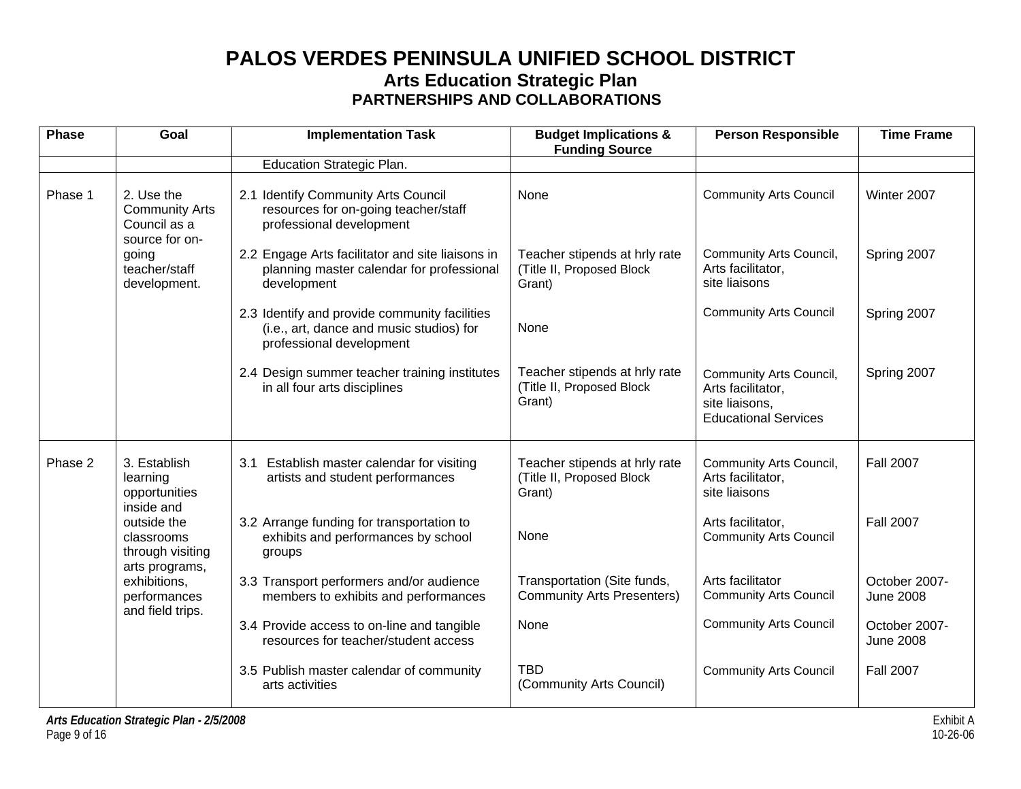## **PALOS VERDES PENINSULA UNIFIED SCHOOL DISTRICT Arts Education Strategic Plan PARTNERSHIPS AND COLLABORATIONS**

| <b>Phase</b> | Goal                                                                  | <b>Implementation Task</b>                                                                                            | <b>Budget Implications &amp;</b><br><b>Funding Source</b>            | <b>Person Responsible</b>                                                                            | <b>Time Frame</b>                 |
|--------------|-----------------------------------------------------------------------|-----------------------------------------------------------------------------------------------------------------------|----------------------------------------------------------------------|------------------------------------------------------------------------------------------------------|-----------------------------------|
|              |                                                                       | Education Strategic Plan.                                                                                             |                                                                      |                                                                                                      |                                   |
| Phase 1      | 2. Use the<br><b>Community Arts</b><br>Council as a<br>source for on- | 2.1 Identify Community Arts Council<br>resources for on-going teacher/staff<br>professional development               | None                                                                 | <b>Community Arts Council</b>                                                                        | Winter 2007                       |
|              | going<br>teacher/staff<br>development.                                | 2.2 Engage Arts facilitator and site liaisons in<br>planning master calendar for professional<br>development          | Teacher stipends at hrly rate<br>(Title II, Proposed Block<br>Grant) | Community Arts Council,<br>Arts facilitator,<br>site liaisons                                        | Spring 2007                       |
|              |                                                                       | 2.3 Identify and provide community facilities<br>(i.e., art, dance and music studios) for<br>professional development | None                                                                 | <b>Community Arts Council</b>                                                                        | Spring 2007                       |
|              |                                                                       | 2.4 Design summer teacher training institutes<br>in all four arts disciplines                                         | Teacher stipends at hrly rate<br>(Title II, Proposed Block<br>Grant) | <b>Community Arts Council,</b><br>Arts facilitator,<br>site liaisons,<br><b>Educational Services</b> | Spring 2007                       |
| Phase 2      | 3. Establish<br>learning<br>opportunities<br>inside and               | Establish master calendar for visiting<br>3.1<br>artists and student performances                                     | Teacher stipends at hrly rate<br>(Title II, Proposed Block<br>Grant) | <b>Community Arts Council,</b><br>Arts facilitator,<br>site liaisons                                 | <b>Fall 2007</b>                  |
|              | outside the<br>classrooms<br>through visiting<br>arts programs,       | 3.2 Arrange funding for transportation to<br>exhibits and performances by school<br>groups                            | None                                                                 | Arts facilitator,<br><b>Community Arts Council</b>                                                   | <b>Fall 2007</b>                  |
|              | exhibitions,<br>performances<br>and field trips.                      | 3.3 Transport performers and/or audience<br>members to exhibits and performances                                      | Transportation (Site funds,<br><b>Community Arts Presenters)</b>     | Arts facilitator<br><b>Community Arts Council</b>                                                    | October 2007-<br><b>June 2008</b> |
|              |                                                                       | 3.4 Provide access to on-line and tangible<br>resources for teacher/student access                                    | None                                                                 | <b>Community Arts Council</b>                                                                        | October 2007-<br><b>June 2008</b> |
|              |                                                                       | 3.5 Publish master calendar of community<br>arts activities                                                           | <b>TBD</b><br>(Community Arts Council)                               | <b>Community Arts Council</b>                                                                        | <b>Fall 2007</b>                  |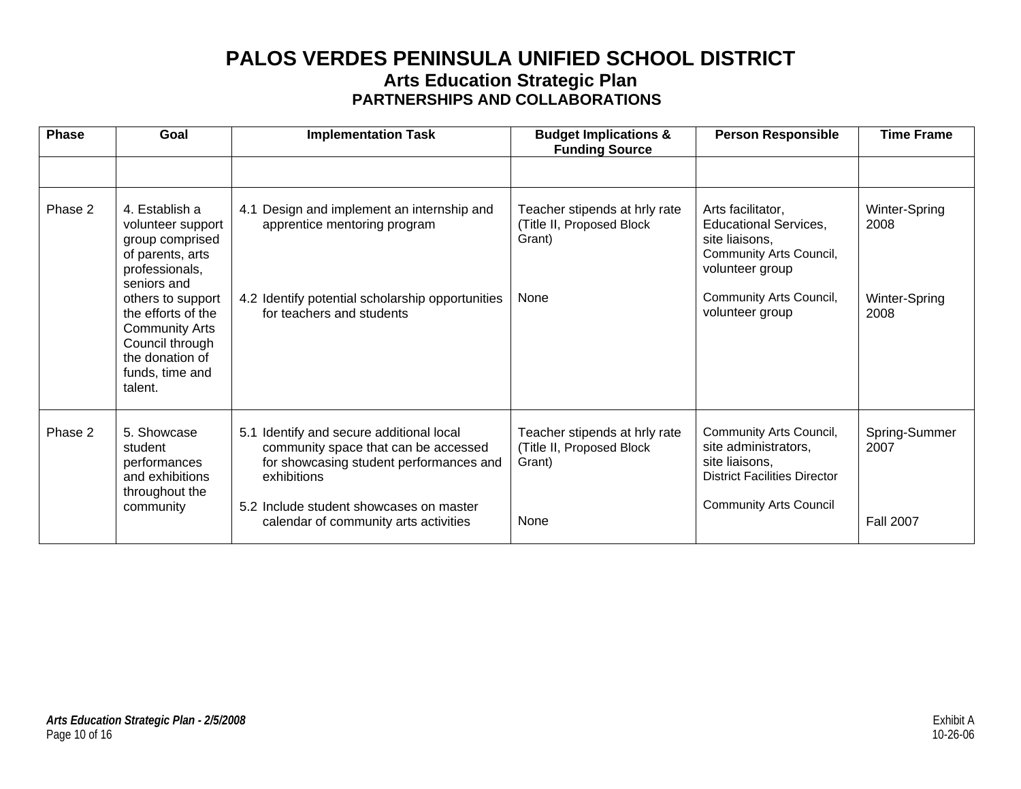## **PALOS VERDES PENINSULA UNIFIED SCHOOL DISTRICT Arts Education Strategic Plan PARTNERSHIPS AND COLLABORATIONS**

| <b>Phase</b> | Goal                                                                                                                                 | <b>Implementation Task</b>                                                                                                                    | <b>Budget Implications &amp;</b><br><b>Funding Source</b>                    | <b>Person Responsible</b>                                                                                                                    | <b>Time Frame</b>     |
|--------------|--------------------------------------------------------------------------------------------------------------------------------------|-----------------------------------------------------------------------------------------------------------------------------------------------|------------------------------------------------------------------------------|----------------------------------------------------------------------------------------------------------------------------------------------|-----------------------|
|              |                                                                                                                                      |                                                                                                                                               |                                                                              |                                                                                                                                              |                       |
| Phase 2      | 4. Establish a<br>volunteer support<br>group comprised<br>of parents, arts<br>professionals,<br>seniors and                          | Design and implement an internship and<br>4.1<br>apprentice mentoring program                                                                 | Teacher stipends at hrly rate<br>(Title II, Proposed Block<br>Grant)<br>None | Arts facilitator,<br><b>Educational Services,</b><br>site liaisons,<br>Community Arts Council,<br>volunteer group<br>Community Arts Council, | Winter-Spring<br>2008 |
|              | others to support<br>the efforts of the<br><b>Community Arts</b><br>Council through<br>the donation of<br>funds, time and<br>talent. | 4.2 Identify potential scholarship opportunities<br>for teachers and students                                                                 |                                                                              | volunteer group                                                                                                                              | Winter-Spring<br>2008 |
| Phase 2      | 5. Showcase<br>student<br>performances<br>and exhibitions<br>throughout the                                                          | Identify and secure additional local<br>5.1<br>community space that can be accessed<br>for showcasing student performances and<br>exhibitions | Teacher stipends at hrly rate<br>(Title II, Proposed Block<br>Grant)         | Community Arts Council,<br>site administrators,<br>site liaisons,<br><b>District Facilities Director</b>                                     | Spring-Summer<br>2007 |
|              | community                                                                                                                            | 5.2 Include student showcases on master<br>calendar of community arts activities                                                              | None                                                                         | <b>Community Arts Council</b>                                                                                                                | <b>Fall 2007</b>      |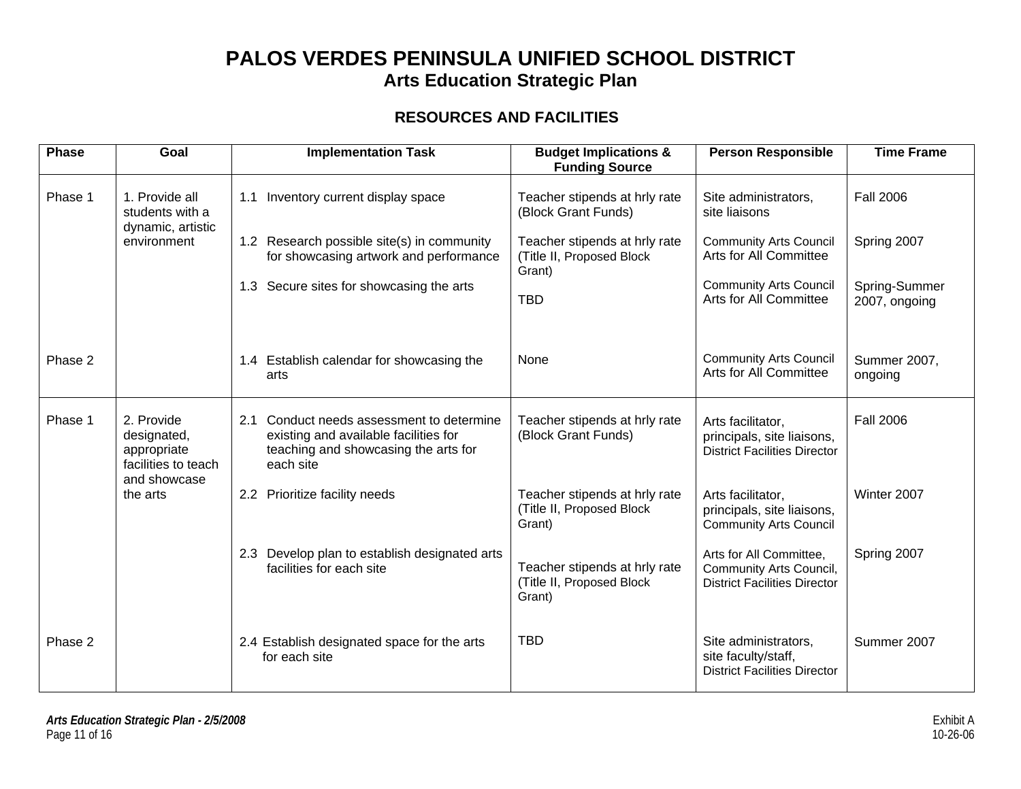### **RESOURCES AND FACILITIES**

| <b>Phase</b> | Goal                                                                            | <b>Implementation Task</b>                                                                                                              | <b>Budget Implications &amp;</b><br><b>Funding Source</b>            | <b>Person Responsible</b>                                                                 | <b>Time Frame</b>              |
|--------------|---------------------------------------------------------------------------------|-----------------------------------------------------------------------------------------------------------------------------------------|----------------------------------------------------------------------|-------------------------------------------------------------------------------------------|--------------------------------|
| Phase 1      | 1. Provide all<br>students with a<br>dynamic, artistic                          | 1.1 Inventory current display space                                                                                                     | Teacher stipends at hrly rate<br>(Block Grant Funds)                 | Site administrators,<br>site liaisons                                                     | <b>Fall 2006</b>               |
|              | environment                                                                     | 1.2 Research possible site(s) in community<br>for showcasing artwork and performance                                                    | Teacher stipends at hrly rate<br>(Title II, Proposed Block<br>Grant) | <b>Community Arts Council</b><br>Arts for All Committee                                   | Spring 2007                    |
|              |                                                                                 | 1.3 Secure sites for showcasing the arts                                                                                                | <b>TBD</b>                                                           | <b>Community Arts Council</b><br>Arts for All Committee                                   | Spring-Summer<br>2007, ongoing |
| Phase 2      |                                                                                 | 1.4 Establish calendar for showcasing the<br>arts                                                                                       | <b>None</b>                                                          | <b>Community Arts Council</b><br>Arts for All Committee                                   | Summer 2007,<br>ongoing        |
| Phase 1      | 2. Provide<br>designated,<br>appropriate<br>facilities to teach<br>and showcase | 2.1 Conduct needs assessment to determine<br>existing and available facilities for<br>teaching and showcasing the arts for<br>each site | Teacher stipends at hrly rate<br>(Block Grant Funds)                 | Arts facilitator,<br>principals, site liaisons,<br><b>District Facilities Director</b>    | <b>Fall 2006</b>               |
|              | the arts                                                                        | 2.2 Prioritize facility needs                                                                                                           | Teacher stipends at hrly rate<br>(Title II, Proposed Block<br>Grant) | Arts facilitator,<br>principals, site liaisons,<br><b>Community Arts Council</b>          | Winter 2007                    |
|              |                                                                                 | 2.3 Develop plan to establish designated arts<br>facilities for each site                                                               | Teacher stipends at hrly rate<br>(Title II, Proposed Block<br>Grant) | Arts for All Committee,<br>Community Arts Council,<br><b>District Facilities Director</b> | Spring 2007                    |
| Phase 2      |                                                                                 | 2.4 Establish designated space for the arts<br>for each site                                                                            | <b>TBD</b>                                                           | Site administrators,<br>site faculty/staff,<br><b>District Facilities Director</b>        | Summer 2007                    |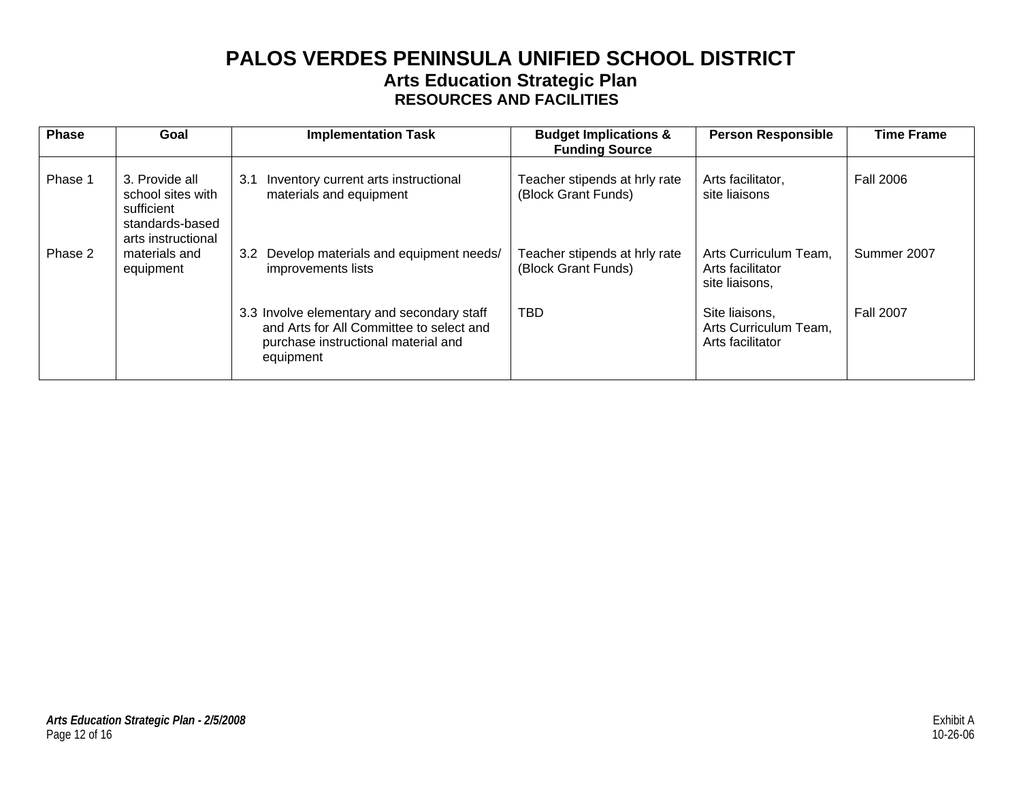## **PALOS VERDES PENINSULA UNIFIED SCHOOL DISTRICT Arts Education Strategic Plan RESOURCES AND FACILITIES**

| <b>Phase</b> | Goal                                                                                       | <b>Implementation Task</b>                                                                                                                 | <b>Budget Implications &amp;</b><br><b>Funding Source</b> | <b>Person Responsible</b>                                   | <b>Time Frame</b> |
|--------------|--------------------------------------------------------------------------------------------|--------------------------------------------------------------------------------------------------------------------------------------------|-----------------------------------------------------------|-------------------------------------------------------------|-------------------|
| Phase 1      | 3. Provide all<br>school sites with<br>sufficient<br>standards-based<br>arts instructional | 3.1<br>Inventory current arts instructional<br>materials and equipment                                                                     | Teacher stipends at hrly rate<br>(Block Grant Funds)      | Arts facilitator,<br>site liaisons                          | <b>Fall 2006</b>  |
| Phase 2      | materials and<br>equipment                                                                 | Develop materials and equipment needs/<br>3.2<br>improvements lists                                                                        | Teacher stipends at hrly rate<br>(Block Grant Funds)      | Arts Curriculum Team.<br>Arts facilitator<br>site liaisons, | Summer 2007       |
|              |                                                                                            | 3.3 Involve elementary and secondary staff<br>and Arts for All Committee to select and<br>purchase instructional material and<br>equipment | <b>TBD</b>                                                | Site liaisons,<br>Arts Curriculum Team,<br>Arts facilitator | <b>Fall 2007</b>  |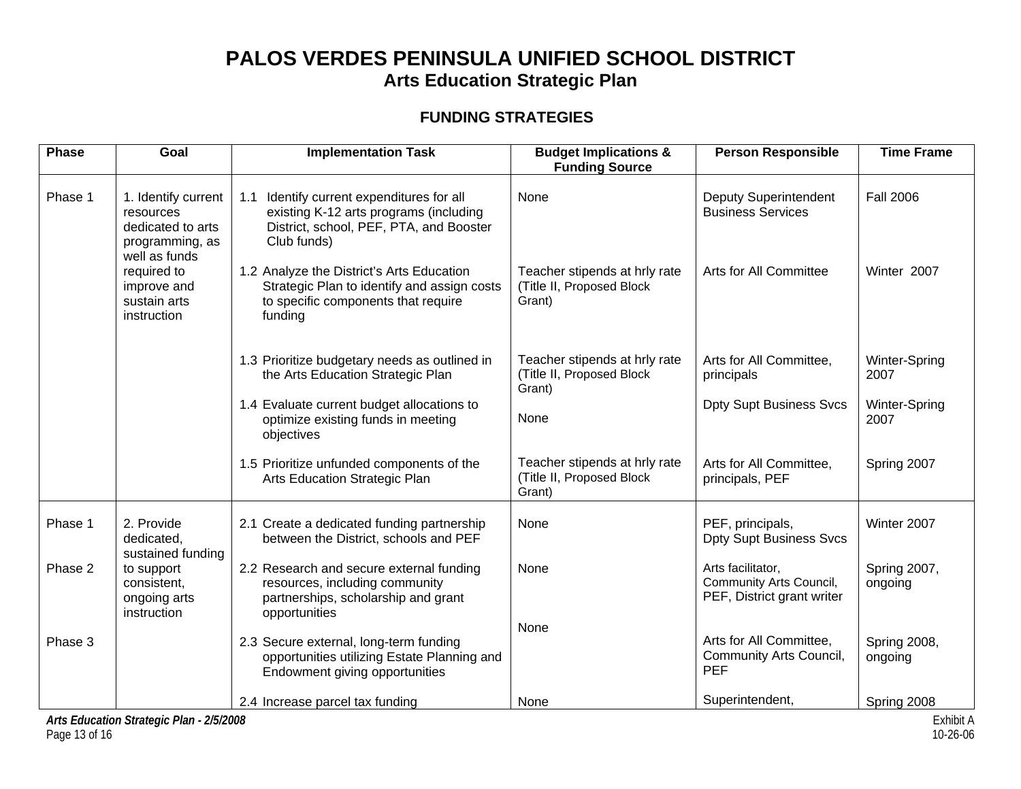### **FUNDING STRATEGIES**

| <b>Phase</b> | Goal                                                                                      | <b>Implementation Task</b>                                                                                                                       | <b>Budget Implications &amp;</b><br><b>Funding Source</b>            | <b>Person Responsible</b>                                                  | <b>Time Frame</b>              |
|--------------|-------------------------------------------------------------------------------------------|--------------------------------------------------------------------------------------------------------------------------------------------------|----------------------------------------------------------------------|----------------------------------------------------------------------------|--------------------------------|
| Phase 1      | 1. Identify current<br>resources<br>dedicated to arts<br>programming, as<br>well as funds | 1.1<br>Identify current expenditures for all<br>existing K-12 arts programs (including<br>District, school, PEF, PTA, and Booster<br>Club funds) | None                                                                 | <b>Deputy Superintendent</b><br><b>Business Services</b>                   | <b>Fall 2006</b>               |
|              | required to<br>improve and<br>sustain arts<br>instruction                                 | 1.2 Analyze the District's Arts Education<br>Strategic Plan to identify and assign costs<br>to specific components that require<br>funding       | Teacher stipends at hrly rate<br>(Title II, Proposed Block<br>Grant) | Arts for All Committee                                                     | Winter 2007                    |
|              |                                                                                           | 1.3 Prioritize budgetary needs as outlined in<br>the Arts Education Strategic Plan                                                               | Teacher stipends at hrly rate<br>(Title II, Proposed Block<br>Grant) | Arts for All Committee.<br>principals                                      | Winter-Spring<br>2007          |
|              |                                                                                           | 1.4 Evaluate current budget allocations to<br>optimize existing funds in meeting<br>objectives                                                   | None                                                                 | <b>Dpty Supt Business Svcs</b>                                             | Winter-Spring<br>2007          |
|              |                                                                                           | 1.5 Prioritize unfunded components of the<br>Arts Education Strategic Plan                                                                       | Teacher stipends at hrly rate<br>(Title II, Proposed Block<br>Grant) | Arts for All Committee,<br>principals, PEF                                 | Spring 2007                    |
| Phase 1      | 2. Provide<br>dedicated,<br>sustained funding                                             | 2.1 Create a dedicated funding partnership<br>between the District, schools and PEF                                                              | None                                                                 | PEF, principals,<br><b>Dpty Supt Business Svcs</b>                         | Winter 2007                    |
| Phase 2      | to support<br>consistent,<br>ongoing arts<br>instruction                                  | 2.2 Research and secure external funding<br>resources, including community<br>partnerships, scholarship and grant<br>opportunities               | None                                                                 | Arts facilitator,<br>Community Arts Council,<br>PEF, District grant writer | Spring 2007,<br>ongoing        |
| Phase 3      |                                                                                           | 2.3 Secure external, long-term funding<br>opportunities utilizing Estate Planning and<br>Endowment giving opportunities                          | None                                                                 | Arts for All Committee,<br>Community Arts Council,<br><b>PEF</b>           | <b>Spring 2008,</b><br>ongoing |
|              |                                                                                           | 2.4 Increase parcel tax funding                                                                                                                  | None                                                                 | Superintendent,                                                            | Spring 2008                    |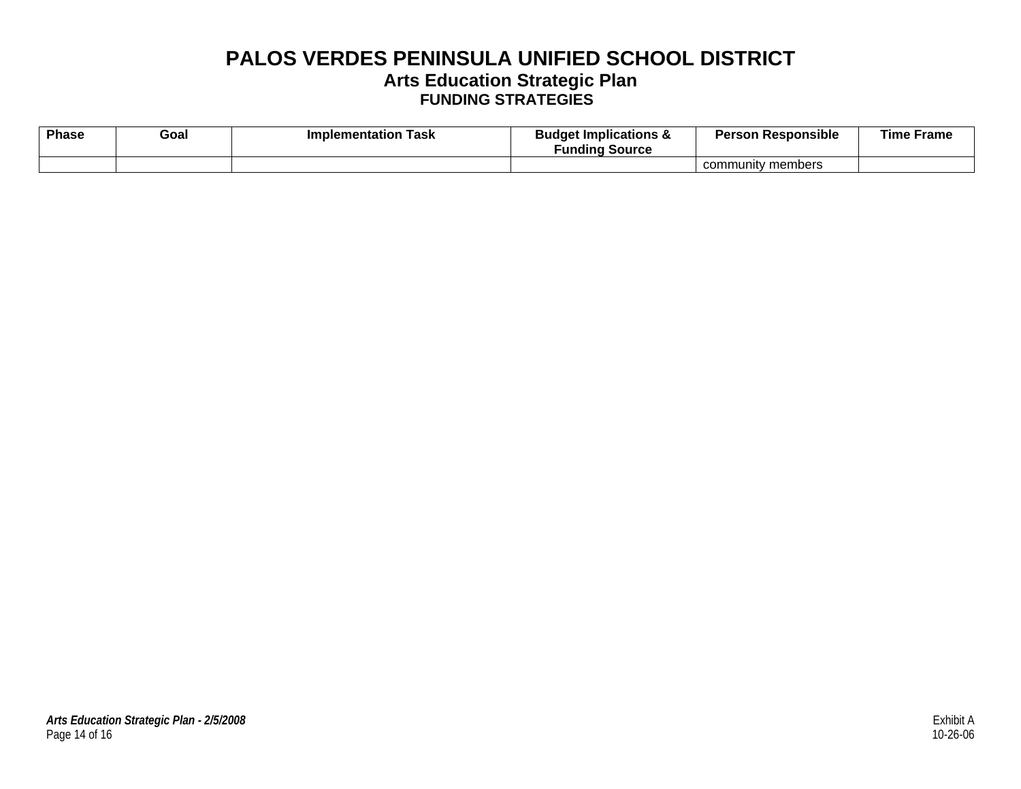## **PALOS VERDES PENINSULA UNIFIED SCHOOL DISTRICT Arts Education Strategic Plan FUNDING STRATEGIES**

| <b>Phase</b> | Goal | Implementation<br>Task | <b>Budget Implications &amp;</b><br><b>Funding Source</b> | <b>Person Responsible</b> | <b>Time Frame</b> |
|--------------|------|------------------------|-----------------------------------------------------------|---------------------------|-------------------|
|              |      |                        |                                                           | community members         |                   |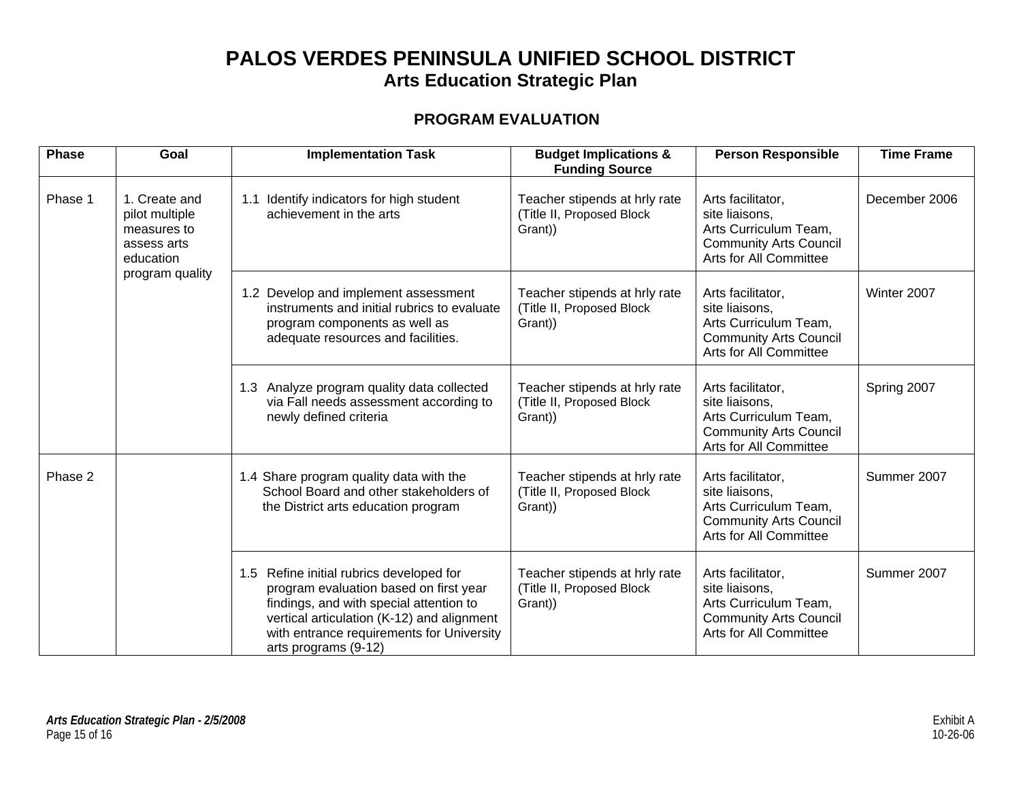### **PROGRAM EVALUATION**

| <b>Phase</b> | Goal                                                                                          | <b>Implementation Task</b>                                                                                                                                                                                                                       | <b>Budget Implications &amp;</b><br><b>Funding Source</b>             | <b>Person Responsible</b>                                                                                               | <b>Time Frame</b> |
|--------------|-----------------------------------------------------------------------------------------------|--------------------------------------------------------------------------------------------------------------------------------------------------------------------------------------------------------------------------------------------------|-----------------------------------------------------------------------|-------------------------------------------------------------------------------------------------------------------------|-------------------|
| Phase 1      | 1. Create and<br>pilot multiple<br>measures to<br>assess arts<br>education<br>program quality | 1.1 Identify indicators for high student<br>achievement in the arts                                                                                                                                                                              | Teacher stipends at hrly rate<br>(Title II, Proposed Block<br>Grant)) | Arts facilitator,<br>site liaisons,<br>Arts Curriculum Team,<br><b>Community Arts Council</b><br>Arts for All Committee | December 2006     |
|              |                                                                                               | 1.2 Develop and implement assessment<br>instruments and initial rubrics to evaluate<br>program components as well as<br>adequate resources and facilities.                                                                                       | Teacher stipends at hrly rate<br>(Title II, Proposed Block<br>Grant)) | Arts facilitator,<br>site liaisons,<br>Arts Curriculum Team,<br><b>Community Arts Council</b><br>Arts for All Committee | Winter 2007       |
|              |                                                                                               | 1.3 Analyze program quality data collected<br>via Fall needs assessment according to<br>newly defined criteria                                                                                                                                   | Teacher stipends at hrly rate<br>(Title II, Proposed Block<br>Grant)) | Arts facilitator,<br>site liaisons,<br>Arts Curriculum Team,<br><b>Community Arts Council</b><br>Arts for All Committee | Spring 2007       |
| Phase 2      |                                                                                               | 1.4 Share program quality data with the<br>School Board and other stakeholders of<br>the District arts education program                                                                                                                         | Teacher stipends at hrly rate<br>(Title II, Proposed Block<br>Grant)) | Arts facilitator,<br>site liaisons,<br>Arts Curriculum Team,<br><b>Community Arts Council</b><br>Arts for All Committee | Summer 2007       |
|              |                                                                                               | 1.5 Refine initial rubrics developed for<br>program evaluation based on first year<br>findings, and with special attention to<br>vertical articulation (K-12) and alignment<br>with entrance requirements for University<br>arts programs (9-12) | Teacher stipends at hrly rate<br>(Title II, Proposed Block<br>Grant)) | Arts facilitator,<br>site liaisons,<br>Arts Curriculum Team,<br><b>Community Arts Council</b><br>Arts for All Committee | Summer 2007       |